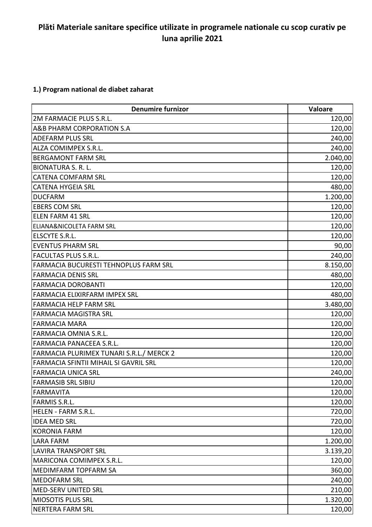## **Plăti Materiale sanitare specifice utilizate in programele nationale cu scop curativ pe luna aprilie 2021**

## **1.) Program national de diabet zaharat**

| <b>Denumire furnizor</b>                 | <b>Valoare</b> |
|------------------------------------------|----------------|
| 2M FARMACIE PLUS S.R.L.                  | 120,00         |
| A&B PHARM CORPORATION S.A                | 120,00         |
| <b>ADEFARM PLUS SRL</b>                  | 240,00         |
| ALZA COMIMPEX S.R.L.                     | 240,00         |
| <b>BERGAMONT FARM SRL</b>                | 2.040,00       |
| <b>BIONATURA S. R. L.</b>                | 120,00         |
| <b>CATENA COMFARM SRL</b>                | 120,00         |
| <b>CATENA HYGEIA SRL</b>                 | 480,00         |
| <b>DUCFARM</b>                           | 1.200,00       |
| <b>EBERS COM SRL</b>                     | 120,00         |
| <b>ELEN FARM 41 SRL</b>                  | 120,00         |
| ELIANA&NICOLETA FARM SRL                 | 120,00         |
| ELSCYTE S.R.L.                           | 120,00         |
| <b>EVENTUS PHARM SRL</b>                 | 90,00          |
| <b>FACULTAS PLUS S.R.L.</b>              | 240,00         |
| FARMACIA BUCURESTI TEHNOPLUS FARM SRL    | 8.150,00       |
| <b>FARMACIA DENIS SRL</b>                | 480,00         |
| <b>FARMACIA DOROBANTI</b>                | 120,00         |
| FARMACIA ELIXIRFARM IMPEX SRL            | 480,00         |
| <b>FARMACIA HELP FARM SRL</b>            | 3.480,00       |
| <b>FARMACIA MAGISTRA SRL</b>             | 120,00         |
| <b>FARMACIA MARA</b>                     | 120,00         |
| FARMACIA OMNIA S.R.L.                    | 120,00         |
| FARMACIA PANACEEA S.R.L.                 | 120,00         |
| FARMACIA PLURIMEX TUNARI S.R.L./ MERCK 2 | 120,00         |
| FARMACIA SFINTII MIHAIL SI GAVRIL SRL    | 120,00         |
| <b>FARMACIA UNICA SRL</b>                | 240,00         |
| <b>FARMASIB SRL SIBIU</b>                | 120,00         |
| <b>FARMAVITA</b>                         | 120,00         |
| <b>FARMIS S.R.L.</b>                     | 120,00         |
| HELEN - FARM S.R.L.                      | 720,00         |
| <b>IDEA MED SRL</b>                      | 720,00         |
| <b>KORONIA FARM</b>                      | 120,00         |
| <b>LARA FARM</b>                         | 1.200,00       |
| <b>LAVIRA TRANSPORT SRL</b>              | 3.139,20       |
| MARICONA COMIMPEX S.R.L.                 | 120,00         |
| <b>MEDIMFARM TOPFARM SA</b>              | 360,00         |
| <b>MEDOFARM SRL</b>                      | 240,00         |
| MED-SERV UNITED SRL                      | 210,00         |
| MIOSOTIS PLUS SRL                        | 1.320,00       |
| NERTERA FARM SRL                         | 120,00         |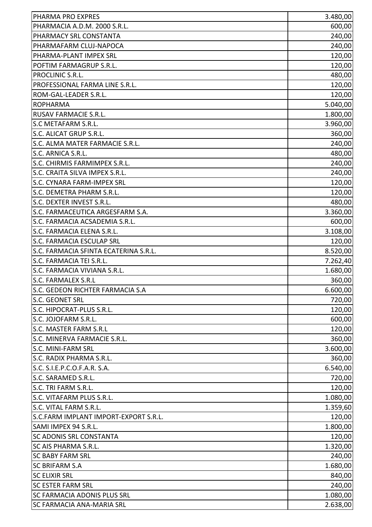| PHARMA PRO EXPRES                     | 3.480,00 |
|---------------------------------------|----------|
| PHARMACIA A.D.M. 2000 S.R.L.          | 600,00   |
| PHARMACY SRL CONSTANTA                | 240,00   |
| PHARMAFARM CLUJ-NAPOCA                | 240,00   |
| PHARMA-PLANT IMPEX SRL                | 120,00   |
| POFTIM FARMAGRUP S.R.L.               | 120,00   |
| PROCLINIC S.R.L.                      | 480,00   |
| PROFESSIONAL FARMA LINE S.R.L.        | 120,00   |
| ROM-GAL-LEADER S.R.L.                 | 120,00   |
| <b>ROPHARMA</b>                       | 5.040,00 |
| <b>RUSAV FARMACIE S.R.L.</b>          | 1.800,00 |
| S.C METAFARM S.R.L.                   | 3.960,00 |
| S.C. ALICAT GRUP S.R.L.               | 360,00   |
| S.C. ALMA MATER FARMACIE S.R.L.       | 240,00   |
| S.C. ARNICA S.R.L.                    | 480,00   |
| S.C. CHIRMIS FARMIMPEX S.R.L.         | 240,00   |
| S.C. CRAITA SILVA IMPEX S.R.L.        | 240,00   |
| S.C. CYNARA FARM-IMPEX SRL            | 120,00   |
| S.C. DEMETRA PHARM S.R.L.             | 120,00   |
| S.C. DEXTER INVEST S.R.L.             | 480,00   |
| S.C. FARMACEUTICA ARGESFARM S.A.      | 3.360,00 |
| S.C. FARMACIA ACSADEMIA S.R.L.        | 600,00   |
| S.C. FARMACIA ELENA S.R.L.            | 3.108,00 |
| <b>S.C. FARMACIA ESCULAP SRL</b>      | 120,00   |
| S.C. FARMACIA SFINTA ECATERINA S.R.L. | 8.520,00 |
| S.C. FARMACIA TEI S.R.L.              | 7.262,40 |
| S.C. FARMACIA VIVIANA S.R.L.          | 1.680,00 |
| S.C. FARMALEX S.R.L                   | 360,00   |
| S.C. GEDEON RICHTER FARMACIA S.A      | 6.600,00 |
| <b>S.C. GEONET SRL</b>                | 720,00   |
| S.C. HIPOCRAT-PLUS S.R.L.             | 120,00   |
| S.C. JOJOFARM S.R.L.                  | 600,00   |
| S.C. MASTER FARM S.R.L                | 120,00   |
| S.C. MINERVA FARMACIE S.R.L.          | 360,00   |
| <b>S.C. MINI-FARM SRL</b>             | 3.600,00 |
| S.C. RADIX PHARMA S.R.L.              | 360,00   |
| S.C. S.I.E.P.C.O.F.A.R. S.A.          | 6.540,00 |
| S.C. SARAMED S.R.L.                   | 720,00   |
| S.C. TRI FARM S.R.L.                  | 120,00   |
| S.C. VITAFARM PLUS S.R.L.             | 1.080,00 |
| S.C. VITAL FARM S.R.L.                | 1.359,60 |
| S.C.FARM IMPLANT IMPORT-EXPORT S.R.L. | 120,00   |
| SAMI IMPEX 94 S.R.L.                  | 1.800,00 |
| <b>SC ADONIS SRL CONSTANTA</b>        | 120,00   |
| <b>SC AIS PHARMA S.R.L.</b>           | 1.320,00 |
| <b>SC BABY FARM SRL</b>               | 240,00   |
| <b>SC BRIFARM S.A</b>                 | 1.680,00 |
| <b>SC ELIXIR SRL</b>                  | 840,00   |
| <b>SC ESTER FARM SRL</b>              | 240,00   |
| <b>SC FARMACIA ADONIS PLUS SRL</b>    | 1.080,00 |
| <b>SC FARMACIA ANA-MARIA SRL</b>      | 2.638,00 |